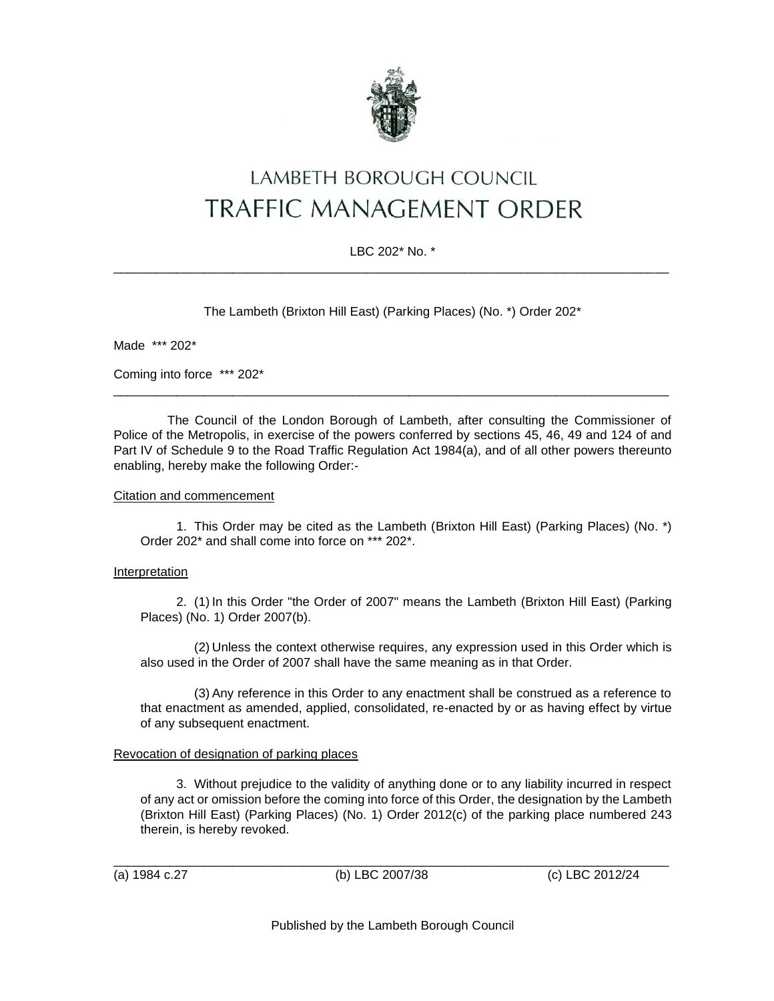

# LAMBETH BOROUGH COUNCIL **TRAFFIC MANAGEMENT ORDER**

## LBC 202\* No. \* \_\_\_\_\_\_\_\_\_\_\_\_\_\_\_\_\_\_\_\_\_\_\_\_\_\_\_\_\_\_\_\_\_\_\_\_\_\_\_\_\_\_\_\_\_\_\_\_\_\_\_\_\_\_\_\_\_\_\_\_\_\_\_\_\_\_\_\_\_\_\_\_\_\_\_\_\_\_\_

The Lambeth (Brixton Hill East) (Parking Places) (No. \*) Order 202\*

Made \*\*\* 202\*

Coming into force \*\*\* 202\*

The Council of the London Borough of Lambeth, after consulting the Commissioner of Police of the Metropolis, in exercise of the powers conferred by sections 45, 46, 49 and 124 of and Part IV of Schedule 9 to the Road Traffic Regulation Act 1984(a), and of all other powers thereunto enabling, hereby make the following Order:-

\_\_\_\_\_\_\_\_\_\_\_\_\_\_\_\_\_\_\_\_\_\_\_\_\_\_\_\_\_\_\_\_\_\_\_\_\_\_\_\_\_\_\_\_\_\_\_\_\_\_\_\_\_\_\_\_\_\_\_\_\_\_\_\_\_\_\_\_\_\_\_\_\_\_\_\_\_\_\_

### Citation and commencement

1. This Order may be cited as the Lambeth (Brixton Hill East) (Parking Places) (No. \*) Order 202\* and shall come into force on \*\*\* 202\*.

### **Interpretation**

2. (1) In this Order "the Order of 2007" means the Lambeth (Brixton Hill East) (Parking Places) (No. 1) Order 2007(b).

(2) Unless the context otherwise requires, any expression used in this Order which is also used in the Order of 2007 shall have the same meaning as in that Order.

(3) Any reference in this Order to any enactment shall be construed as a reference to that enactment as amended, applied, consolidated, re-enacted by or as having effect by virtue of any subsequent enactment.

### Revocation of designation of parking places

3. Without prejudice to the validity of anything done or to any liability incurred in respect of any act or omission before the coming into force of this Order, the designation by the Lambeth (Brixton Hill East) (Parking Places) (No. 1) Order 2012(c) of the parking place numbered 243 therein, is hereby revoked.

(a) 1984 c.27 (b) LBC 2007/38 (c) LBC 2012/24

\_\_\_\_\_\_\_\_\_\_\_\_\_\_\_\_\_\_\_\_\_\_\_\_\_\_\_\_\_\_\_\_\_\_\_\_\_\_\_\_\_\_\_\_\_\_\_\_\_\_\_\_\_\_\_\_\_\_\_\_\_\_\_\_\_\_\_\_\_\_\_\_\_\_\_\_\_\_\_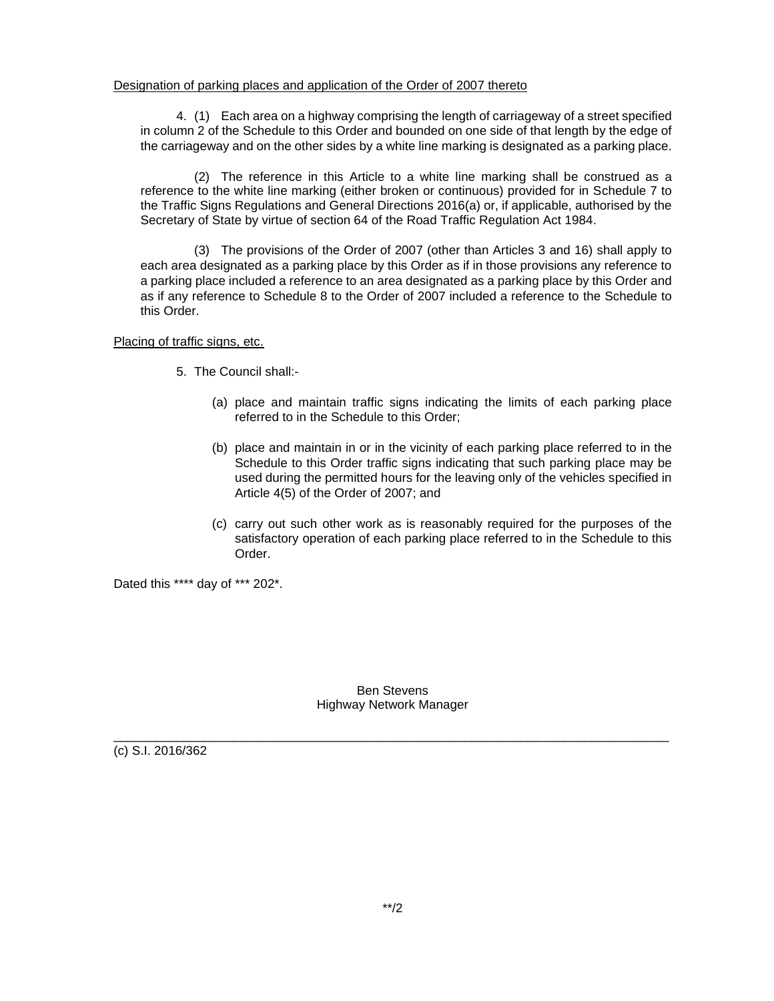### Designation of parking places and application of the Order of 2007 thereto

4. (1) Each area on a highway comprising the length of carriageway of a street specified in column 2 of the Schedule to this Order and bounded on one side of that length by the edge of the carriageway and on the other sides by a white line marking is designated as a parking place.

(2) The reference in this Article to a white line marking shall be construed as a reference to the white line marking (either broken or continuous) provided for in Schedule 7 to the Traffic Signs Regulations and General Directions 2016(a) or, if applicable, authorised by the Secretary of State by virtue of section 64 of the Road Traffic Regulation Act 1984.

(3) The provisions of the Order of 2007 (other than Articles 3 and 16) shall apply to each area designated as a parking place by this Order as if in those provisions any reference to a parking place included a reference to an area designated as a parking place by this Order and as if any reference to Schedule 8 to the Order of 2007 included a reference to the Schedule to this Order.

#### Placing of traffic signs, etc.

- 5. The Council shall:-
	- (a) place and maintain traffic signs indicating the limits of each parking place referred to in the Schedule to this Order;
	- (b) place and maintain in or in the vicinity of each parking place referred to in the Schedule to this Order traffic signs indicating that such parking place may be used during the permitted hours for the leaving only of the vehicles specified in Article 4(5) of the Order of 2007; and
	- (c) carry out such other work as is reasonably required for the purposes of the satisfactory operation of each parking place referred to in the Schedule to this Order.

Dated this \*\*\*\* day of \*\*\* 202\*.

Ben Stevens Highway Network Manager

\_\_\_\_\_\_\_\_\_\_\_\_\_\_\_\_\_\_\_\_\_\_\_\_\_\_\_\_\_\_\_\_\_\_\_\_\_\_\_\_\_\_\_\_\_\_\_\_\_\_\_\_\_\_\_\_\_\_\_\_\_\_\_\_\_\_\_\_\_\_\_\_\_\_\_\_\_\_\_

(c) S.I. 2016/362